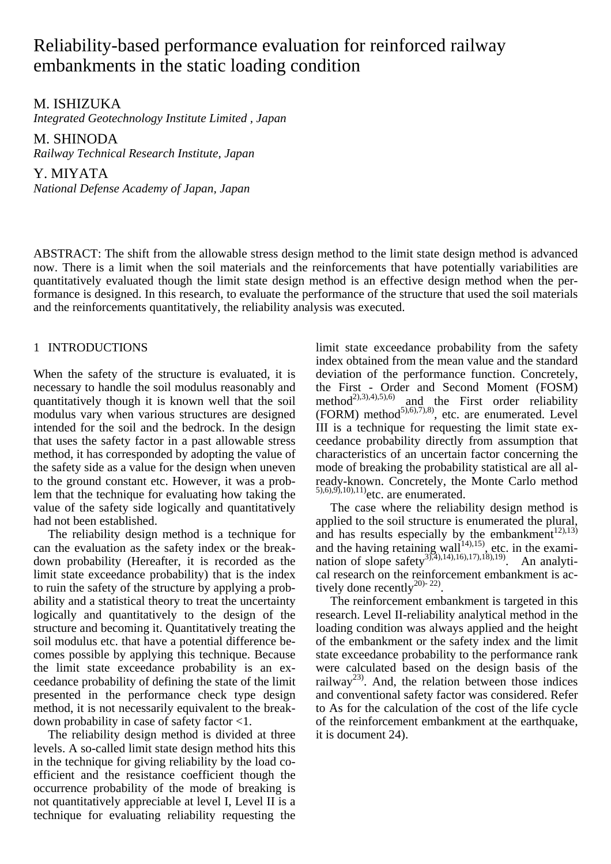# Reliability-based performance evaluation for reinforced railway embankments in the static loading condition

M. ISHIZUKA

*Integrated Geotechnology Institute Limited , Japan* 

M. SHINODA *Railway Technical Research Institute, Japan* 

Y. MIYATA *National Defense Academy of Japan, Japan* 

ABSTRACT: The shift from the allowable stress design method to the limit state design method is advanced now. There is a limit when the soil materials and the reinforcements that have potentially variabilities are quantitatively evaluated though the limit state design method is an effective design method when the performance is designed. In this research, to evaluate the performance of the structure that used the soil materials and the reinforcements quantitatively, the reliability analysis was executed.

## 1 INTRODUCTIONS

When the safety of the structure is evaluated, it is necessary to handle the soil modulus reasonably and quantitatively though it is known well that the soil modulus vary when various structures are designed intended for the soil and the bedrock. In the design that uses the safety factor in a past allowable stress method, it has corresponded by adopting the value of the safety side as a value for the design when uneven to the ground constant etc. However, it was a problem that the technique for evaluating how taking the value of the safety side logically and quantitatively had not been established.

The reliability design method is a technique for can the evaluation as the safety index or the breakdown probability (Hereafter, it is recorded as the limit state exceedance probability) that is the index to ruin the safety of the structure by applying a probability and a statistical theory to treat the uncertainty logically and quantitatively to the design of the structure and becoming it. Quantitatively treating the soil modulus etc. that have a potential difference becomes possible by applying this technique. Because the limit state exceedance probability is an exceedance probability of defining the state of the limit presented in the performance check type design method, it is not necessarily equivalent to the breakdown probability in case of safety factor <1.

The reliability design method is divided at three levels. A so-called limit state design method hits this in the technique for giving reliability by the load coefficient and the resistance coefficient though the occurrence probability of the mode of breaking is not quantitatively appreciable at level I, Level II is a technique for evaluating reliability requesting the

limit state exceedance probability from the safety index obtained from the mean value and the standard deviation of the performance function. Concretely, the First - Order and Second Moment (FOSM) method<sup>2),3),4),5),6)</sup> and the First order reliability (FORM) method<sup>5),6),7),8)</sup>, etc. are enumerated. Level III is a technique for requesting the limit state exceedance probability directly from assumption that characteristics of an uncertain factor concerning the mode of breaking the probability statistical are all already-known. Concretely, the Monte Carlo method  $5,6,9,9,10,11$ ) etc. are enumerated.

The case where the reliability design method is applied to the soil structure is enumerated the plural, and has results especially by the embankment<sup>12),13)</sup> and the having retaining wall<sup>14),15</sup>, etc. in the examination of slope safety<sup>3),4),14),16),17),18),19)</sup>. An analytical research on the reinforcement embankment is actively done recently<sup>20)-22)</sup>.

The reinforcement embankment is targeted in this research. Level II-reliability analytical method in the loading condition was always applied and the height of the embankment or the safety index and the limit state exceedance probability to the performance rank were calculated based on the design basis of the railway<sup>23)</sup>. And, the relation between those indices and conventional safety factor was considered. Refer to As for the calculation of the cost of the life cycle of the reinforcement embankment at the earthquake, it is document 24).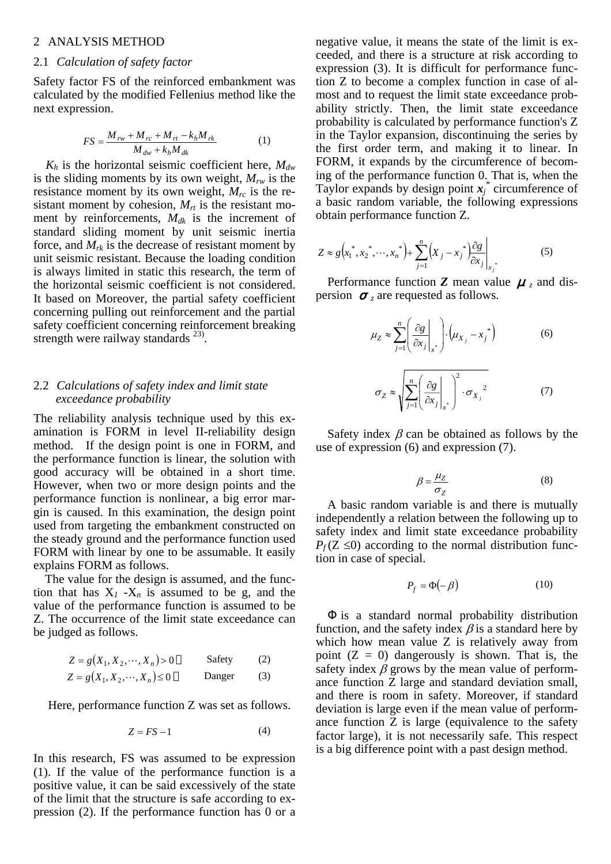#### 2 ANALYSIS METHOD

#### 2.1 *Calculation of safety factor*

Safety factor FS of the reinforced embankment was calculated by the modified Fellenius method like the next expression.

$$
FS = \frac{M_{rw} + M_{rc} + M_{rt} - k_h M_{rk}}{M_{dw} + k_h M_{dk}}
$$
 (1)

 $K_h$  is the horizontal seismic coefficient here,  $M_{dw}$ is the sliding moments by its own weight,  $M_{rw}$  is the resistance moment by its own weight,  $M_{rc}$  is the resistant moment by cohesion,  $M_{rt}$  is the resistant moment by reinforcements,  $M_{dk}$  is the increment of standard sliding moment by unit seismic inertia force, and  $M_{rk}$  is the decrease of resistant moment by unit seismic resistant. Because the loading condition is always limited in static this research, the term of the horizontal seismic coefficient is not considered. It based on Moreover, the partial safety coefficient concerning pulling out reinforcement and the partial safety coefficient concerning reinforcement breaking strength were railway standards  $^{23}$ .

## 2.2 *Calculations of safety index and limit state exceedance probability*

The reliability analysis technique used by this examination is FORM in level II-reliability design method. If the design point is one in FORM, and the performance function is linear, the solution with good accuracy will be obtained in a short time. However, when two or more design points and the performance function is nonlinear, a big error margin is caused. In this examination, the design point used from targeting the embankment constructed on the steady ground and the performance function used FORM with linear by one to be assumable. It easily explains FORM as follows.

 The value for the design is assumed, and the function that has  $X_1 - X_n$  is assumed to be g, and the value of the performance function is assumed to be Z. The occurrence of the limit state exceedance can be judged as follows.

$$
Z = g(X_1, X_2, \cdots, X_n) > 0
$$
 Safety (2)  

$$
Z = g(X_1, X_2, \cdots, X_n) \le 0
$$
Danger (3)

Here, performance function Z was set as follows.

$$
Z = FS - 1 \tag{4}
$$

In this research, FS was assumed to be expression (1). If the value of the performance function is a positive value, it can be said excessively of the state of the limit that the structure is safe according to expression (2). If the performance function has 0 or a negative value, it means the state of the limit is exceeded, and there is a structure at risk according to expression (3). It is difficult for performance function Z to become a complex function in case of almost and to request the limit state exceedance probability strictly. Then, the limit state exceedance probability is calculated by performance function's Z in the Taylor expansion, discontinuing the series by the first order term, and making it to linear. In FORM, it expands by the circumference of becoming of the performance function 0. That is, when the Taylor expands by design point  $x_j^*$  circumference of a basic random variable, the following expressions obtain performance function Z.

$$
Z \approx g\left(x_1^*, x_2^*, \cdots, x_n^*\right) + \sum_{j=1}^n \left(x_j - x_j^*\right) \frac{\partial g}{\partial x_j}\Big|_{x_j^*}
$$
(5)

Performance function **Z** mean value  $\mu_z$  and dispersion  $\bar{z}$  are requested as follows.

$$
\mu_Z \approx \sum_{j=1}^n \left( \frac{\partial g}{\partial x_j} \bigg|_{x^*} \right) \cdot \left( \mu_{X_j} - x_j^* \right) \tag{6}
$$

$$
\sigma_Z \approx \sqrt{\sum_{j=1}^n \left( \frac{\partial g}{\partial x_j} \bigg|_{x^*} \right)^2 \cdot \sigma_{X_j}^2} \tag{7}
$$

Safety index  $\beta$  can be obtained as follows by the use of expression (6) and expression (7).

$$
\beta = \frac{\mu_Z}{\sigma_Z} \tag{8}
$$

A basic random variable is and there is mutually independently a relation between the following up to safety index and limit state exceedance probability  $P_f$ (Z  $\leq$ 0) according to the normal distribution function in case of special.

$$
P_f = \Phi(-\beta) \tag{10}
$$

is a standard normal probability distribution function, and the safety index  $\beta$  is a standard here by which how mean value Z is relatively away from point  $(Z = 0)$  dangerously is shown. That is, the safety index  $\beta$  grows by the mean value of performance function Z large and standard deviation small, and there is room in safety. Moreover, if standard deviation is large even if the mean value of performance function Z is large (equivalence to the safety factor large), it is not necessarily safe. This respect is a big difference point with a past design method.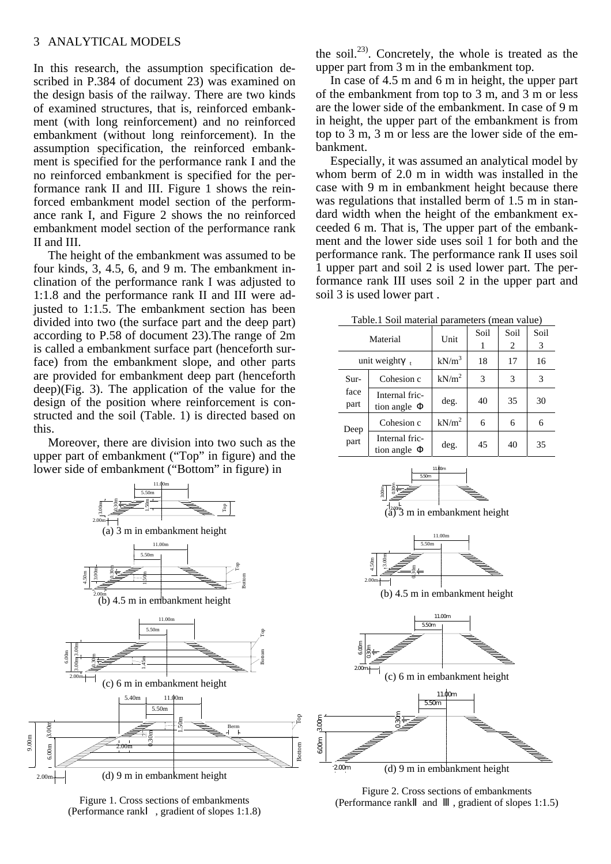In this research, the assumption specification described in P.384 of document 23) was examined on the design basis of the railway. There are two kinds of examined structures, that is, reinforced embankment (with long reinforcement) and no reinforced embankment (without long reinforcement). In the assumption specification, the reinforced embankment is specified for the performance rank I and the no reinforced embankment is specified for the performance rank II and III. Figure 1 shows the reinforced embankment model section of the performance rank I, and Figure 2 shows the no reinforced embankment model section of the performance rank II and III.

The height of the embankment was assumed to be four kinds, 3, 4.5, 6, and 9 m. The embankment inclination of the performance rank I was adjusted to 1:1.8 and the performance rank II and III were adjusted to 1:1.5. The embankment section has been divided into two (the surface part and the deep part) according to P.58 of document 23).The range of 2m is called a embankment surface part (henceforth surface) from the embankment slope, and other parts are provided for embankment deep part (henceforth deep)(Fig. 3). The application of the value for the design of the position where reinforcement is constructed and the soil (Table. 1) is directed based on this.

Moreover, there are division into two such as the upper part of embankment ("Top" in figure) and the lower side of embankment ("Bottom" in figure) in

> 5.50m 11.00m



Figure 1. Cross sections of embankments (Performance rank , gradient of slopes 1:1.8)

the soil.<sup>23)</sup>. Concretely, the whole is treated as the upper part from 3 m in the embankment top.

In case of 4.5 m and 6 m in height, the upper part of the embankment from top to 3 m, and 3 m or less are the lower side of the embankment. In case of 9 m in height, the upper part of the embankment is from top to 3 m, 3 m or less are the lower side of the embankment.

Especially, it was assumed an analytical model by whom berm of 2.0 m in width was installed in the case with 9 m in embankment height because there was regulations that installed berm of 1.5 m in standard width when the height of the embankment exceeded 6 m. That is, The upper part of the embankment and the lower side uses soil 1 for both and the performance rank. The performance rank II uses soil 1 upper part and soil 2 is used lower part. The performance rank III uses soil 2 in the upper part and soil 3 is used lower part .

Table.1 Soil material parameters (mean value)

| raore.r bon material parameters (mean value) |                              |                   |           |           |           |  |  |
|----------------------------------------------|------------------------------|-------------------|-----------|-----------|-----------|--|--|
| Material                                     |                              | Unit              | Soil<br>1 | Soil<br>2 | Soil<br>3 |  |  |
| unit weight                                  |                              | $kN/m^3$          | 18        | 17        | 16        |  |  |
| Sur-<br>face<br>part                         | Cohesion c                   | kN/m <sup>2</sup> | 3         | 3         | 3         |  |  |
|                                              | Internal fric-<br>tion angle | deg.              | 40        | 35        | 30        |  |  |
| Deep<br>part                                 | Cohesion c                   | kN/m <sup>2</sup> | 6         | 6         | 6         |  |  |
|                                              | Internal fric-<br>tion angle | deg.              | 45        | 40        | 35        |  |  |







(b) 4.5 m in embankment height



Figure 2. Cross sections of embankments (Performance rank and , gradient of slopes 1:1.5)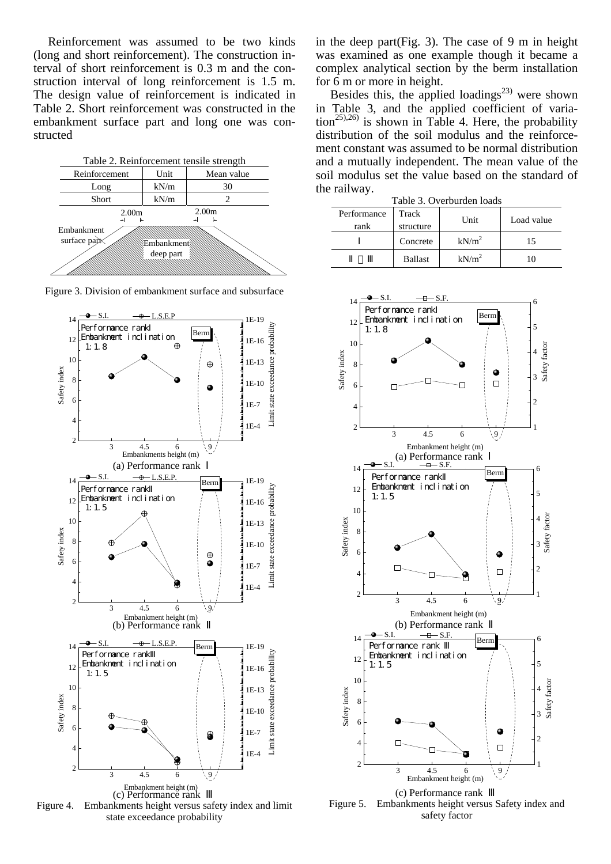Reinforcement was assumed to be two kinds (long and short reinforcement). The construction interval of short reinforcement is 0.3 m and the construction interval of long reinforcement is 1.5 m. The design value of reinforcement is indicated in Table 2. Short reinforcement was constructed in the embankment surface part and long one was constructed









in the deep part(Fig. 3). The case of 9 m in height was examined as one example though it became a complex analytical section by the berm installation for 6 m or more in height.

Besides this, the applied loadings<sup>23)</sup> were shown in Table 3, and the applied coefficient of varia- $\lim_{25,26}$  is shown in Table 4. Here, the probability distribution of the soil modulus and the reinforcement constant was assumed to be normal distribution and a mutually independent. The mean value of the soil modulus set the value based on the standard of the railway.

| Table 3. Overburden loads |                    |                   |            |  |  |  |
|---------------------------|--------------------|-------------------|------------|--|--|--|
| Performance<br>rank       | Track<br>structure | Unit              | Load value |  |  |  |
|                           | Concrete           | kN/m <sup>2</sup> | 15         |  |  |  |
|                           | <b>Ballast</b>     | kN/m <sup>2</sup> |            |  |  |  |



Figure 5. Embankments height versus Safety index and safety factor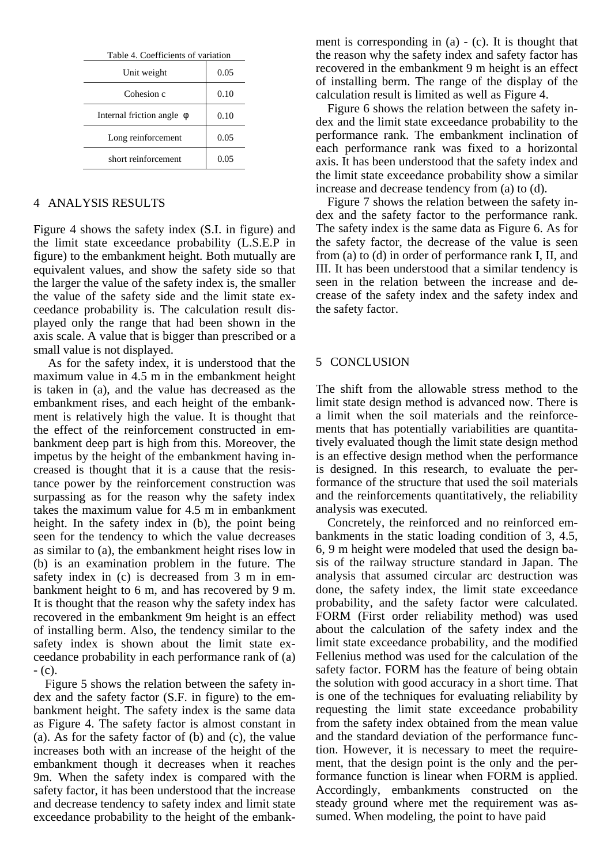| Table 4. Coefficients of variation |      |  |  |  |
|------------------------------------|------|--|--|--|
| Unit weight                        | 0.05 |  |  |  |
| Cohesion c                         | 0.10 |  |  |  |
| Internal friction angle            | 0.10 |  |  |  |
| Long reinforcement                 | 0.05 |  |  |  |
| short reinforcement                | 0.05 |  |  |  |

## 4 ANALYSIS RESULTS

Figure 4 shows the safety index (S.I. in figure) and the limit state exceedance probability (L.S.E.P in figure) to the embankment height. Both mutually are equivalent values, and show the safety side so that the larger the value of the safety index is, the smaller the value of the safety side and the limit state exceedance probability is. The calculation result displayed only the range that had been shown in the axis scale. A value that is bigger than prescribed or a small value is not displayed.

As for the safety index, it is understood that the maximum value in 4.5 m in the embankment height is taken in (a), and the value has decreased as the embankment rises, and each height of the embankment is relatively high the value. It is thought that the effect of the reinforcement constructed in embankment deep part is high from this. Moreover, the impetus by the height of the embankment having increased is thought that it is a cause that the resistance power by the reinforcement construction was surpassing as for the reason why the safety index takes the maximum value for 4.5 m in embankment height. In the safety index in (b), the point being seen for the tendency to which the value decreases as similar to (a), the embankment height rises low in (b) is an examination problem in the future. The safety index in (c) is decreased from 3 m in embankment height to 6 m, and has recovered by 9 m. It is thought that the reason why the safety index has recovered in the embankment 9m height is an effect of installing berm. Also, the tendency similar to the safety index is shown about the limit state exceedance probability in each performance rank of (a)  $-$  (c).

 Figure 5 shows the relation between the safety index and the safety factor (S.F. in figure) to the embankment height. The safety index is the same data as Figure 4. The safety factor is almost constant in (a). As for the safety factor of (b) and (c), the value increases both with an increase of the height of the embankment though it decreases when it reaches 9m. When the safety index is compared with the safety factor, it has been understood that the increase and decrease tendency to safety index and limit state exceedance probability to the height of the embankment is corresponding in (a) - (c). It is thought that the reason why the safety index and safety factor has recovered in the embankment 9 m height is an effect of installing berm. The range of the display of the calculation result is limited as well as Figure 4.

 Figure 6 shows the relation between the safety index and the limit state exceedance probability to the performance rank. The embankment inclination of each performance rank was fixed to a horizontal axis. It has been understood that the safety index and the limit state exceedance probability show a similar increase and decrease tendency from (a) to (d).

Figure 7 shows the relation between the safety index and the safety factor to the performance rank. The safety index is the same data as Figure 6. As for the safety factor, the decrease of the value is seen from (a) to (d) in order of performance rank I, II, and III. It has been understood that a similar tendency is seen in the relation between the increase and decrease of the safety index and the safety index and the safety factor.

#### 5 CONCLUSION

The shift from the allowable stress method to the limit state design method is advanced now. There is a limit when the soil materials and the reinforcements that has potentially variabilities are quantitatively evaluated though the limit state design method is an effective design method when the performance is designed. In this research, to evaluate the performance of the structure that used the soil materials and the reinforcements quantitatively, the reliability analysis was executed.

Concretely, the reinforced and no reinforced embankments in the static loading condition of 3, 4.5, 6, 9 m height were modeled that used the design basis of the railway structure standard in Japan. The analysis that assumed circular arc destruction was done, the safety index, the limit state exceedance probability, and the safety factor were calculated. FORM (First order reliability method) was used about the calculation of the safety index and the limit state exceedance probability, and the modified Fellenius method was used for the calculation of the safety factor. FORM has the feature of being obtain the solution with good accuracy in a short time. That is one of the techniques for evaluating reliability by requesting the limit state exceedance probability from the safety index obtained from the mean value and the standard deviation of the performance function. However, it is necessary to meet the requirement, that the design point is the only and the performance function is linear when FORM is applied. Accordingly, embankments constructed on the steady ground where met the requirement was assumed. When modeling, the point to have paid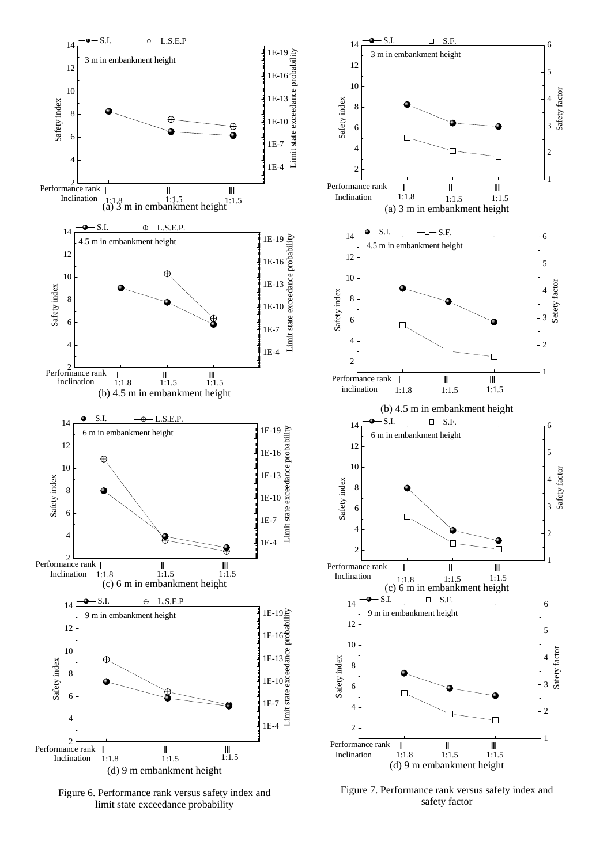

Figure 6. Performance rank versus safety index and limit state exceedance probability

Figure 7. Performance rank versus safety index and safety factor

1

1

1

2

3

4

Safety factor

Safety factor

5

6

2

3

4

Safety factor

5

6

2

3

4

Sefety factor

5

6

1

2

3

4

Safety factor

Safety factor

5

6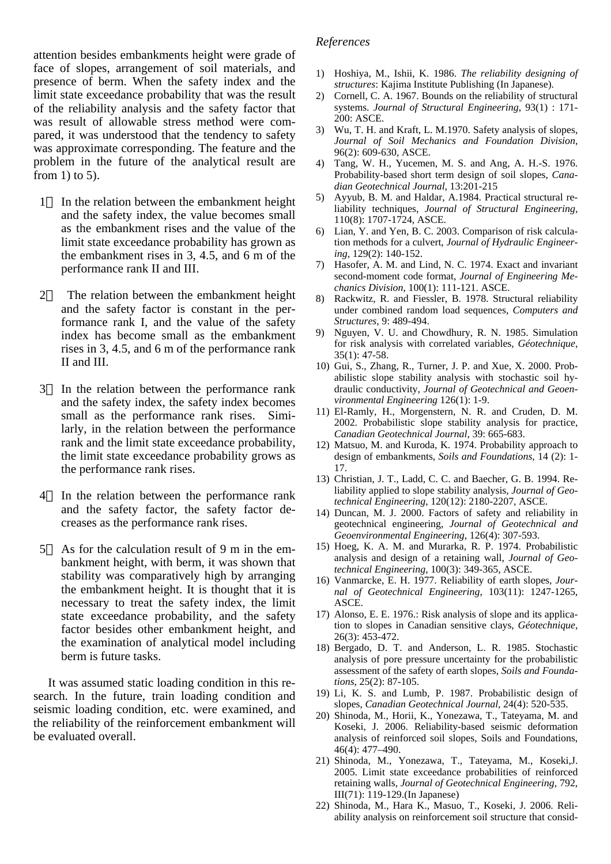attention besides embankments height were grade of face of slopes, arrangement of soil materials, and presence of berm. When the safety index and the limit state exceedance probability that was the result of the reliability analysis and the safety factor that was result of allowable stress method were compared, it was understood that the tendency to safety was approximate corresponding. The feature and the problem in the future of the analytical result are from 1) to 5).

- 1 In the relation between the embankment height and the safety index, the value becomes small as the embankment rises and the value of the limit state exceedance probability has grown as the embankment rises in 3, 4.5, and 6 m of the performance rank II and III.
- 2 The relation between the embankment height and the safety factor is constant in the performance rank I, and the value of the safety index has become small as the embankment rises in 3, 4.5, and 6 m of the performance rank II and III.
- 3 In the relation between the performance rank and the safety index, the safety index becomes small as the performance rank rises. Similarly, in the relation between the performance rank and the limit state exceedance probability, the limit state exceedance probability grows as the performance rank rises.
- 4 In the relation between the performance rank and the safety factor, the safety factor decreases as the performance rank rises.
- 5 As for the calculation result of 9 m in the embankment height, with berm, it was shown that stability was comparatively high by arranging the embankment height. It is thought that it is necessary to treat the safety index, the limit state exceedance probability, and the safety factor besides other embankment height, and the examination of analytical model including berm is future tasks.

It was assumed static loading condition in this research. In the future, train loading condition and seismic loading condition, etc. were examined, and the reliability of the reinforcement embankment will be evaluated overall.

#### *References*

- 1) Hoshiya, M., Ishii, K. 1986. *The reliability designing of structures*: Kajima Institute Publishing (In Japanese).
- 2) Cornell, C. A. 1967. Bounds on the reliability of structural systems. *Journal of Structural Engineering*, 93(1) : 171- 200: ASCE.
- 3) Wu, T. H. and Kraft, L. M.1970. Safety analysis of slopes, *Journal of Soil Mechanics and Foundation Division*, 96(2): 609-630, ASCE.
- 4) Tang, W. H., Yucemen, M. S. and Ang, A. H.-S. 1976. Probability-based short term design of soil slopes, *Canadian Geotechnical Journal*, 13:201-215
- 5) Ayyub, B. M. and Haldar, A.1984. Practical structural reliability techniques, *Journal of Structural Engineering*, 110(8): 1707-1724, ASCE.
- 6) Lian, Y. and Yen, B. C. 2003. Comparison of risk calculation methods for a culvert, *Journal of Hydraulic Engineering*, 129(2): 140-152.
- 7) Hasofer, A. M. and Lind, N. C. 1974. Exact and invariant second-moment code format, *Journal of Engineering Mechanics Division*, 100(1): 111-121. ASCE.
- 8) Rackwitz, R. and Fiessler, B. 1978. Structural reliability under combined random load sequences, *Computers and Structures*, 9: 489-494.
- 9) Nguyen, V. U. and Chowdhury, R. N. 1985. Simulation for risk analysis with correlated variables, *Géotechnique*, 35(1): 47-58.
- 10) Gui, S., Zhang, R., Turner, J. P. and Xue, X. 2000. Probabilistic slope stability analysis with stochastic soil hydraulic conductivity, *Journal of Geotechnical and Geoenvironmental Engineering* 126(1): 1-9.
- 11) El-Ramly, H., Morgenstern, N. R. and Cruden, D. M. 2002. Probabilistic slope stability analysis for practice, *Canadian Geotechnical Journal*, 39: 665-683.
- 12) Matsuo, M. and Kuroda, K. 1974. Probability approach to design of embankments, *Soils and Foundations*, 14 (2): 1- 17.
- 13) Christian, J. T., Ladd, C. C. and Baecher, G. B. 1994. Reliability applied to slope stability analysis, *Journal of Geotechnical Engineering*, 120(12): 2180-2207, ASCE.
- 14) Duncan, M. J. 2000. Factors of safety and reliability in geotechnical engineering, *Journal of Geotechnical and Geoenvironmental Engineering*, 126(4): 307-593.
- 15) Hoeg, K. A. M. and Murarka, R. P. 1974. Probabilistic analysis and design of a retaining wall, *Journal of Geotechnical Engineering*, 100(3): 349-365, ASCE.
- 16) Vanmarcke, E. H. 1977. Reliability of earth slopes, *Journal of Geotechnical Engineering*, 103(11): 1247-1265, ASCE.
- 17) Alonso, E. E. 1976.: Risk analysis of slope and its application to slopes in Canadian sensitive clays, *Géotechnique*, 26(3): 453-472.
- 18) Bergado, D. T. and Anderson, L. R. 1985. Stochastic analysis of pore pressure uncertainty for the probabilistic assessment of the safety of earth slopes, *Soils and Foundations*, 25(2): 87-105.
- 19) Li, K. S. and Lumb, P. 1987. Probabilistic design of slopes, *Canadian Geotechnical Journal*, 24(4): 520-535.
- 20) Shinoda, M., Horii, K., Yonezawa, T., Tateyama, M. and Koseki, J. 2006. Reliability-based seismic deformation analysis of reinforced soil slopes, Soils and Foundations, 46(4): 477–490.
- 21) Shinoda, M., Yonezawa, T., Tateyama, M., Koseki,J. 2005. Limit state exceedance probabilities of reinforced retaining walls, *Journal of Geotechnical Engineering*, 792, III(71): 119-129.(In Japanese)
- 22) Shinoda, M., Hara K., Masuo, T., Koseki, J. 2006. Reliability analysis on reinforcement soil structure that consid-